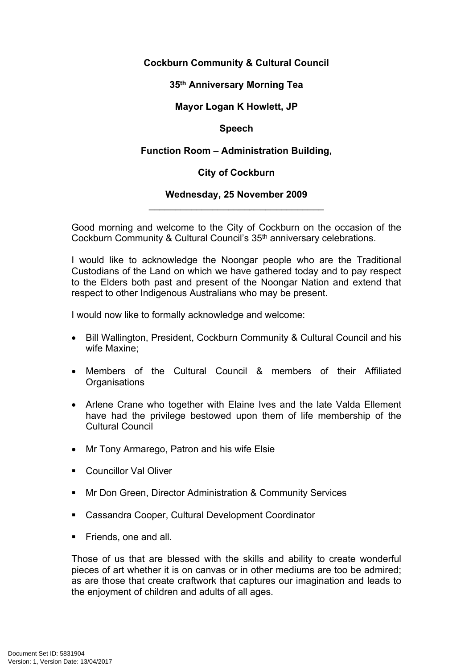# **Cockburn Community & Cultural Council**

### **35th Anniversary Morning Tea**

# **Mayor Logan K Howlett, JP**

### **Speech**

# **Function Room – Administration Building,**

# **City of Cockburn**

#### **Wednesday, 25 November 2009**  $\overline{\phantom{a}}$  , which is a set of the set of the set of the set of the set of the set of the set of the set of the set of the set of the set of the set of the set of the set of the set of the set of the set of the set of th

Good morning and welcome to the City of Cockburn on the occasion of the Cockburn Community & Cultural Council's 35<sup>th</sup> anniversary celebrations.

I would like to acknowledge the Noongar people who are the Traditional Custodians of the Land on which we have gathered today and to pay respect to the Elders both past and present of the Noongar Nation and extend that respect to other Indigenous Australians who may be present.

I would now like to formally acknowledge and welcome:

- Bill Wallington, President, Cockburn Community & Cultural Council and his wife Maxine;
- Members of the Cultural Council & members of their Affiliated **Organisations**
- Arlene Crane who together with Elaine Ives and the late Valda Ellement have had the privilege bestowed upon them of life membership of the Cultural Council
- Mr Tony Armarego, Patron and his wife Elsie
- **Councillor Val Oliver**
- **Mr Don Green, Director Administration & Community Services**
- Cassandra Cooper, Cultural Development Coordinator
- **Firmal Friends, one and all.**

Those of us that are blessed with the skills and ability to create wonderful pieces of art whether it is on canvas or in other mediums are too be admired; as are those that create craftwork that captures our imagination and leads to the enjoyment of children and adults of all ages.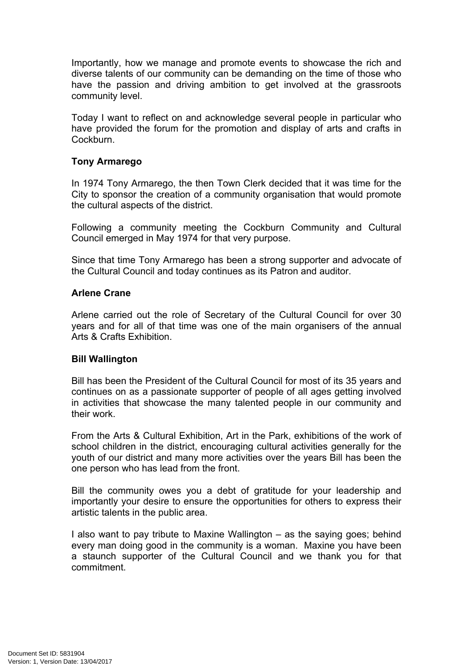Importantly, how we manage and promote events to showcase the rich and diverse talents of our community can be demanding on the time of those who have the passion and driving ambition to get involved at the grassroots community level.

Today I want to reflect on and acknowledge several people in particular who have provided the forum for the promotion and display of arts and crafts in **Cockburn** 

#### **Tony Armarego**

In 1974 Tony Armarego, the then Town Clerk decided that it was time for the City to sponsor the creation of a community organisation that would promote the cultural aspects of the district.

Following a community meeting the Cockburn Community and Cultural Council emerged in May 1974 for that very purpose.

Since that time Tony Armarego has been a strong supporter and advocate of the Cultural Council and today continues as its Patron and auditor.

#### **Arlene Crane**

Arlene carried out the role of Secretary of the Cultural Council for over 30 years and for all of that time was one of the main organisers of the annual Arts & Crafts Exhibition.

#### **Bill Wallington**

Bill has been the President of the Cultural Council for most of its 35 years and continues on as a passionate supporter of people of all ages getting involved in activities that showcase the many talented people in our community and their work.

From the Arts & Cultural Exhibition, Art in the Park, exhibitions of the work of school children in the district, encouraging cultural activities generally for the youth of our district and many more activities over the years Bill has been the one person who has lead from the front.

Bill the community owes you a debt of gratitude for your leadership and importantly your desire to ensure the opportunities for others to express their artistic talents in the public area.

I also want to pay tribute to Maxine Wallington – as the saying goes; behind every man doing good in the community is a woman. Maxine you have been a staunch supporter of the Cultural Council and we thank you for that commitment.